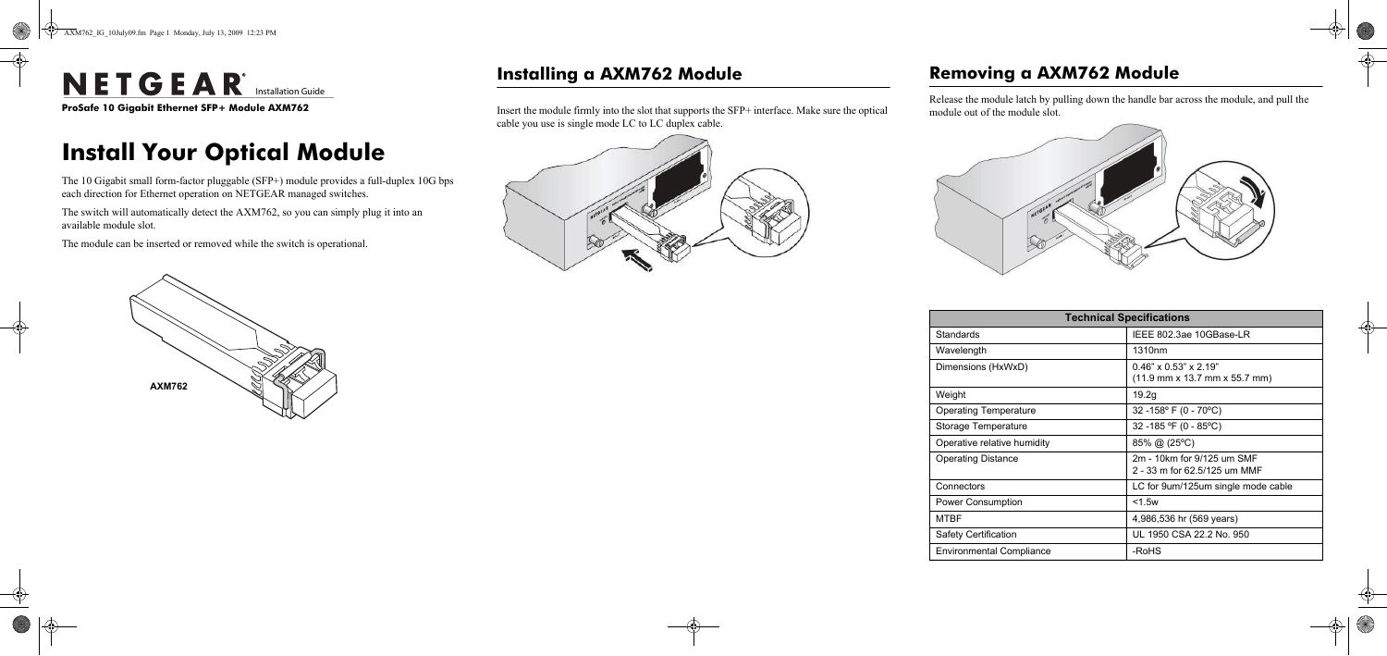e **ProSafe 10 Gigabit Ethernet SFP+ Module AXM762**

# **Install Your Optical Module**

The 10 Gigabit small form-factor pluggable (SFP+) module provides a full-duplex 10G bps each direction for Ethernet operation on NETGEAR managed switches.

The switch will automatically detect the AXM762, so you can simply plug it into an available module slot.

The module can be inserted or removed while the switch is operational.



## **Installing a AXM762 Module**

Insert the module firmly into the slot that supports the SFP+ interface. Make sure the optical cable you use is single mode LC to LC duplex cable.



## **Removing a AXM762 Module**

Release the module latch by pulling down the handle bar across the module, and pull the module out of the module slot.





Weigh

Power

| <b>Technical Specifications</b> |                                                                                                        |  |
|---------------------------------|--------------------------------------------------------------------------------------------------------|--|
| Standards                       | IEEE 802.3ae 10GBase-LR                                                                                |  |
| Wavelength                      | 1310 <sub>nm</sub>                                                                                     |  |
| Dimensions (HxWxD)              | $0.46" \times 0.53" \times 2.19"$<br>$(11.9 \text{ mm} \times 13.7 \text{ mm} \times 55.7 \text{ mm})$ |  |
| Weight                          | 19.2g                                                                                                  |  |
| <b>Operating Temperature</b>    | 32 - 158° F (0 - 70°C)                                                                                 |  |
| Storage Temperature             | 32 -185 °F (0 - 85°C)                                                                                  |  |
| Operative relative humidity     | $85\%$ @ (25°C)                                                                                        |  |
| <b>Operating Distance</b>       | 2m - 10km for 9/125 um SMF<br>2 - 33 m for 62.5/125 um MMF                                             |  |
| Connectors                      | LC for 9um/125um single mode cable                                                                     |  |
| Power Consumption               | $<$ 1.5 $w$                                                                                            |  |
| <b>MTBF</b>                     | 4,986,536 hr (569 years)                                                                               |  |
| Safety Certification            | UL 1950 CSA 22.2 No. 950                                                                               |  |
| <b>Environmental Compliance</b> | -RoHS                                                                                                  |  |

# NETGEAR<sup>®</sup> Installation Guide